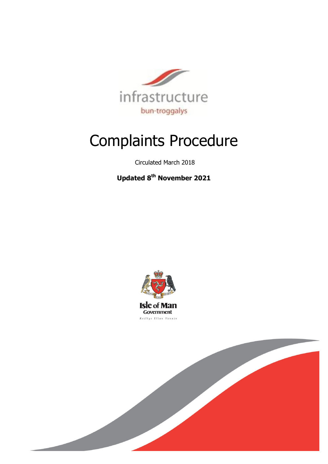

# Complaints Procedure

Circulated March 2018

**Updated 8th November 2021**



**Isle of Man** Government Reiltys Ellan Vannin

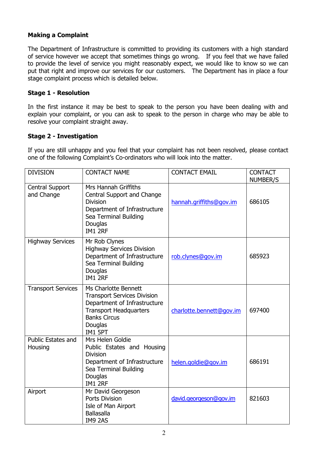# **Making a Complaint**

The Department of Infrastructure is committed to providing its customers with a high standard of service however we accept that sometimes things go wrong. If you feel that we have failed to provide the level of service you might reasonably expect, we would like to know so we can put that right and improve our services for our customers. The Department has in place a four stage complaint process which is detailed below.

### **Stage 1 - Resolution**

In the first instance it may be best to speak to the person you have been dealing with and explain your complaint, or you can ask to speak to the person in charge who may be able to resolve your complaint straight away.

#### **Stage 2 - Investigation**

If you are still unhappy and you feel that your complaint has not been resolved, please contact one of the following Complaint's Co-ordinators who will look into the matter.

| <b>DIVISION</b>               | <b>CONTACT NAME</b>                                                                                                                                                      | <b>CONTACT EMAIL</b>     | <b>CONTACT</b><br>NUMBER/S |
|-------------------------------|--------------------------------------------------------------------------------------------------------------------------------------------------------------------------|--------------------------|----------------------------|
| Central Support<br>and Change | Mrs Hannah Griffiths<br>Central Support and Change<br><b>Division</b><br>Department of Infrastructure<br>Sea Terminal Building<br>Douglas<br><b>IM1 2RF</b>              | hannah.griffiths@gov.im  | 686105                     |
| <b>Highway Services</b>       | Mr Rob Clynes<br><b>Highway Services Division</b><br>Department of Infrastructure<br>Sea Terminal Building<br>Douglas<br><b>IM1 2RF</b>                                  | rob.clynes@gov.im        | 685923                     |
| <b>Transport Services</b>     | Ms Charlotte Bennett<br><b>Transport Services Division</b><br>Department of Infrastructure<br><b>Transport Headquarters</b><br><b>Banks Circus</b><br>Douglas<br>IM1 5PT | charlotte.bennett@gov.im | 697400                     |
| Public Estates and<br>Housing | Mrs Helen Goldie<br>Public Estates and Housing<br><b>Division</b><br>Department of Infrastructure<br>Sea Terminal Building<br>Douglas<br>IM1 2RF                         | helen.goldie@gov.im      | 686191                     |
| Airport                       | Mr David Georgeson<br>Ports Division<br>Isle of Man Airport<br><b>Ballasalla</b><br>IM9 2AS                                                                              | david.georgeson@gov.im   | 821603                     |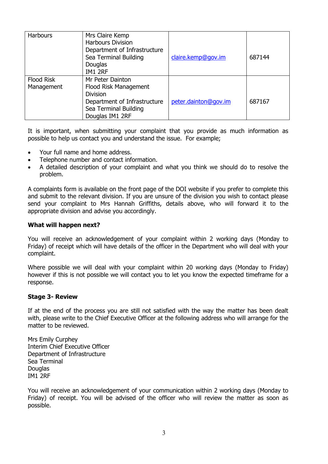| Harbours                        | Mrs Claire Kemp<br><b>Harbours Division</b><br>Department of Infrastructure<br>Sea Terminal Building<br>Douglas<br><b>IM1 2RF</b>        | claire.kemp@gov.im   | 687144 |
|---------------------------------|------------------------------------------------------------------------------------------------------------------------------------------|----------------------|--------|
| <b>Flood Risk</b><br>Management | Mr Peter Dainton<br>Flood Risk Management<br><b>Division</b><br>Department of Infrastructure<br>Sea Terminal Building<br>Douglas IM1 2RF | peter.dainton@gov.im | 687167 |

It is important, when submitting your complaint that you provide as much information as possible to help us contact you and understand the issue. For example;

- Your full name and home address.
- Telephone number and contact information.
- A detailed description of your complaint and what you think we should do to resolve the problem.

A complaints form is available on the front page of the DOI website if you prefer to complete this and submit to the relevant division. If you are unsure of the division you wish to contact please send your complaint to Mrs Hannah Griffiths, details above, who will forward it to the appropriate division and advise you accordingly.

#### **What will happen next?**

You will receive an acknowledgement of your complaint within 2 working days (Monday to Friday) of receipt which will have details of the officer in the Department who will deal with your complaint.

Where possible we will deal with your complaint within 20 working days (Monday to Friday) however if this is not possible we will contact you to let you know the expected timeframe for a response.

#### **Stage 3- Review**

If at the end of the process you are still not satisfied with the way the matter has been dealt with, please write to the Chief Executive Officer at the following address who will arrange for the matter to be reviewed.

Mrs Emily Curphey Interim Chief Executive Officer Department of Infrastructure Sea Terminal Douglas IM1 2RF

You will receive an acknowledgement of your communication within 2 working days (Monday to Friday) of receipt. You will be advised of the officer who will review the matter as soon as possible.